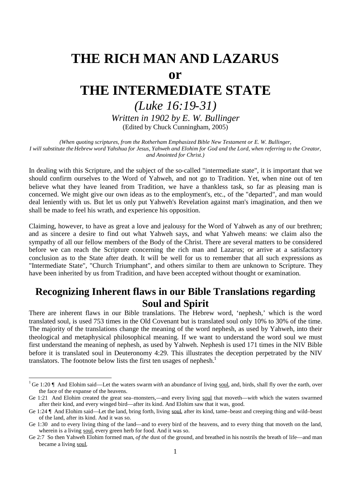# **THE RICH MAN AND LAZARUS**

# **or**

# **THE INTERMEDIATE STATE**

# *(Luke 16:19-31)*

*Written in 1902 by E. W. Bullinger* (Edited by Chuck Cunningham, 2005)

*(When quoting scriptures, from the Rotherham Emphasized Bible New Testament or E. W. Bullinger, I will substitute the Hebrew word Yahshua for Jesus, Yahweh and Elohim for God and the Lord, when referring to the Creator, and Anointed for Christ.)*

In dealing with this Scripture, and the subject of the so-called "intermediate state", it is important that we should confirm ourselves to the Word of Yahweh, and not go to Tradition. Yet, when nine out of ten believe what they have leaned from Tradition, we have a thankless task, so far as pleasing man is concerned. We might give our own ideas as to the employment's, etc., of the "departed", and man would deal leniently with us. But let us only put Yahweh's Revelation against man's imagination, and then we shall be made to feel his wrath, and experience his opposition.

Claiming, however, to have as great a love and jealousy for the Word of Yahweh as any of our brethren; and as sincere a desire to find out what Yahweh says, and what Yahweh means: we claim also the sympathy of all our fellow members of the Body of the Christ. There are several matters to be considered before we can reach the Scripture concerning the rich man and Lazarus; or arrive at a satisfactory conclusion as to the State after death. It will be well for us to remember that all such expressions as "Intermediate State", "Church Triumphant", and others similar to them are unknown to Scripture. They have been inherited by us from Tradition, and have been accepted without thought or examination.

# **Recognizing Inherent flaws in our Bible Translations regarding Soul and Spirit**

There are inherent flaws in our Bible translations. The Hebrew word, 'nephesh,' which is the word translated soul, is used 753 times in the Old Covenant but is translated soul only 10% to 30% of the time. The majority of the translations change the meaning of the word nephesh, as used by Yahweh, into their theological and metaphysical philosophical meaning. If we want to understand the word soul we must first understand the meaning of nephesh, as used by Yahweh. Nephesh is used 171 times in the NIV Bible before it is translated soul in Deuteronomy 4:29. This illustrates the deception perpetrated by the NIV translators. The footnote below lists the first ten usages of nephesh.<sup>1</sup>

<sup>1</sup> Ge 1:20 ¶ And Elohim said––Let the waters swarm *with* an abundance of living soul, and, birds, shall fly over the earth, over the face of the expanse of the heavens.

Ge 1:21 And Elohim created the great sea–monsters,—and every living soul that moveth—*with* which the waters swarmed after their kind, and every winged bird––after its kind. And Elohim saw that it was, good.

Ge 1:24 ¶ And Elohim said––Let the land, bring forth, living soul, after its kind, tame–beast and creeping thing and wild–beast of the land, after its kind. And it was so.

Ge 1:30 and to every living thing of the land—and to every bird of the heavens, and to every thing that moveth on the land, wherein is a living soul, every green herb for food. And it was so.

Ge 2:7 So then Yahweh Elohim formed man, *of the* dust of the ground, and breathed in his nostrils the breath of life––and man became a living soul.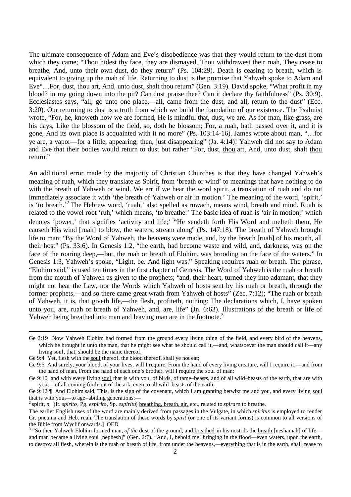The ultimate consequence of Adam and Eve's disobedience was that they would return to the dust from which they came; "Thou hidest thy face, they are dismayed. Thou withdrawest their ruah, They cease to breathe, And, unto their own dust, do they return" (Ps. 104:29). Death is ceasing to breath, which is equivalent to giving up the ruah of life. Returning to dust is the promise that Yahweh spoke to Adam and Eve"…For, dust, thou art, And, unto dust, shalt thou return" (Gen. 3:19). David spoke, "What profit in my blood? in my going down into the pit? Can dust praise thee? Can it declare thy faithfulness<sup>"</sup> (Ps. 30:9). Ecclesiastes says, "all, go unto one place,—all, came from the dust, and all, return to the dust" (Ecc. 3:20). Our returning to dust is a truth from which we build the foundation of our existence. The Psalmist wrote, "For, he, knoweth how we are formed, He is mindful that, dust, we are. As for man, like grass, are his days, Like the blossom of the field, so, doth he blossom; For, a ruah, hath passed over it, and it is gone, And its own place is acquainted with it no more" (Ps. 103:14-16). James wrote about man, "…for ye are, a vapor––for a little, appearing, then, just disappearing" (Ja. 4:14)! Yahweh did not say to Adam and Eve that their bodies would return to dust but rather "For, dust, thou art, And, unto dust, shalt thou return."

An additional error made by the majority of Christian Churches is that they have changed Yahweh's meaning of ruah, which they translate as Spirit, from 'breath or wind' to meanings that have nothing to do with the breath of Yahweh or wind. We err if we hear the word spirit, a translation of ruah and do not immediately associate it with 'the breath of Yahweh or air in motion.' The meaning of the word, 'spirit,' is 'to breath.'<sup>2</sup> The Hebrew word, 'ruah,' also spelled as ruwach, means wind, breath and mind. Ruah is related to the vowel root 'ruh,' which means, 'to breathe.' The basic idea of ruah is 'air in motion,' which denotes 'power,' that signifies 'activity and life;' "He sendeth forth His Word and melteth them, He causeth His wind [ruah] to blow, the waters, stream along" (Ps. 147:18). The breath of Yahweh brought life to man; "By the Word of Yahweh, the heavens were made, and, by the breath [ruah] of his mouth, all their host" (Ps. 33:6). In Genesis 1:2, "the earth, had become waste and wild, and, darkness, was on the face of the roaring deep,—but, the ruah or breath of Elohim, was brooding on the face of the waters." In Genesis 1:3, Yahweh's spoke, "Light, be. And light was." Speaking requires ruah or breath. The phrase, "Elohim said," is used ten times in the first chapter of Genesis. The Word of Yahweh is the ruah or breath from the mouth of Yahweh as given to the prophets; "and, their heart, turned they into adamant, that they might not hear the Law, nor the Words which Yahweh of hosts sent by his ruah or breath, through the former prophets,—and so there came great wrath from Yahweh of hosts" (Zec. 7:12); "The ruah or breath of Yahweh, it is, that giveth life,––the flesh, profiteth, nothing: The declarations which, I, have spoken unto you, are, ruah or breath of Yahweh, and, are, life" (Jn. 6:63). Illustrations of the breath or life of Yahweh being breathed into man and leaving man are in the footnote.<sup>3</sup>

Ge 2:19 Now Yahweh Elohim had formed from the ground every living thing of the field, and every bird of the heavens, which he brought in unto the man, that he might see what he should call it,—and, whatsoever the man should call it—any living soul, that, should be the name thereof.

Ge 9:4 Yet, flesh with the soul thereof, the blood thereof, shall ye not eat;

Ge 9:5 And surely, your blood, of your lives, will I require, From the hand of every living creature, will I require it,––and from the hand of man, From the hand of each one's brother, will I require the soul of man:

Ge 9:10 and with every living soul that is with you, of birds, of tame–beasts, and of all wild–beasts of the earth, that are with you,––of all coming forth out of the ark, even to all wild–beasts of the earth;

Ge 9:12 ¶ And Elohim said, This, is the sign of the covenant, which I am granting betwixt me and you, and every living soul that is with you,––to age–abiding generations:––

<sup>2</sup> spirit, *n.* (It. *spirito*, Pg. *espirito*, Sp. *espiritu*) breathing, breath, air, etc., related to *spirare* to breathe.

The earlier English uses of the word are mainly derived from passages in the Vulgate, in which *spiritus* is employed to render Gr. pneuma and Heb. ruah. The translation of these words by *spirit* (or one of its variant forms) is common to all versions of the Bible from Wyclif onwards.] OED

<sup>&</sup>lt;sup>3</sup> "So then Yahweh Elohim formed man, *of the* dust of the ground, and breathed in his nostrils the breath [neshamah] of life and man became a living soul [nephesh]" (Gen. 2:7). "And, I, behold me! bringing in the flood––even waters, upon the earth, to destroy all flesh, wherein is the ruah or breath of life, from under the heavens,––everything that is in the earth, shall cease to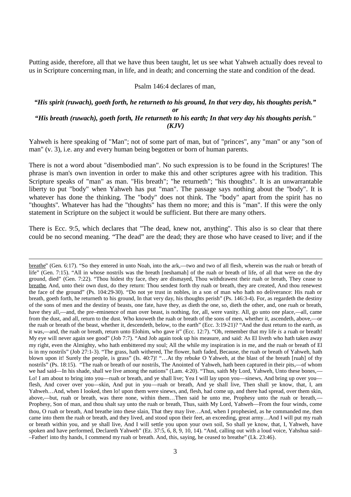Putting aside, therefore, all that we have thus been taught, let us see what Yahweh actually does reveal to us in Scripture concerning man, in life, and in death; and concerning the state and condition of the dead.

#### Psalm 146:4 declares of man,

#### *"His spirit (ruwach), goeth forth, he returneth to his ground, In that very day, his thoughts perish." or "His breath (ruwach), goeth forth, He returneth to his earth; In that very day his thoughts perish." (KJV)*

Yahweh is here speaking of "Man"; not of some part of man, but of "princes", any "man" or any "son of man" (v. 3), i.e. any and every human being begotten or born of human parents.

There is not a word about "disembodied man". No such expression is to be found in the Scriptures! The phrase is man's own invention in order to make this and other scriptures agree with his tradition. This Scripture speaks of "man" as man. "His breath"; "he returneth"; "his thoughts". It is an unwarrantable liberty to put "body" when Yahweh has put "man". The passage says nothing about the "body". It is whatever has done the thinking. The "body" does not think. The "body" apart from the spirit has no "thoughts". Whatever has had the "thoughts" has them no more; and this is "man". If this were the only statement in Scripture on the subject it would be sufficient. But there are many others.

There is Ecc. 9:5, which declares that "The dead, knew not, anything". This also is so clear that there could be no second meaning. "The dead" are the dead; they are those who have ceased to live; and if the

breathe" (Gen. 6:17). "So they entered in unto Noah, into the ark,––two and two of all flesh, wherein was the ruah or breath of life" (Gen. 7:15). "All in whose nostrils was the breath [neshamah] of the ruah or breath of life, of all that were on the dry ground, died" (Gen. 7:22). "Thou hidest thy face, they are dismayed, Thou withdrawest their ruah or breath, They cease to breathe, And, unto their own dust, do they return: Thou sendest forth thy ruah or breath, they are created, And thou renewest the face of the ground" (Ps. 104:29-30). "Do not ye trust in nobles, in a son of man who hath no deliverance: His ruah or breath, goeth forth, he returneth to his ground, In that very day, his thoughts perish" (Ps. 146:3-4). For, as regardeth the destiny of the sons of men and the destiny of beasts, one fate, have they, as dieth the one, so, dieth the other, and, one ruah or breath, have they all,—and, the pre–eminence of man over beast, is nothing, for, all, were vanity. All, go unto one place,—all, came from the dust, and all, return to the dust. Who knoweth the ruah or breath of the sons of men, whether it, ascendeth, above,––or the ruah or breath of the beast, whether it, descendeth, below, to the earth" (Ecc. 3:19-21)? "And the dust return to the earth, as it was,––and, the ruah or breath, return unto Elohim, who gave it" (Ecc. 12:7). "Oh, remember that my life *is* a ruah or breath! My eye will never again see good" (Job 7:7). "And Job again took up his measure, and said: As El liveth who hath taken away my right, even the Almighty, who hath embittered my soul; All the while my inspiration is in me, and the ruah or breath of El is in my nostrils" (Job 27:1-3). "The grass, hath withered, The flower, hath faded, Because, the ruah or breath of Yahweh, hath blown upon it! Surely the people, is grass" (Is. 40:7)! "…At thy rebuke O Yahweh, at the blast of the breath [ruah] of thy nostrils" (Ps. 18:15). "The ruah or breath of our nostrils, The Anointed of Yahweh, hath been captured in their pits,––of whom we had said—In his shade, shall we live among the nations" (Lam. 4:20). "Thus, saith My Lord, Yahweh, Unto these bones,— Lo! I am about to bring into you—ruah or breath, and ye shall live; Yea I will lay upon you—sinews, And bring up over you flesh, And cover over you—skin, And put in you—ruah or breath, And ye shall live, Then shall ye know, that, I, am Yahweh…And, when I looked, then lo! upon them were sinews, and, flesh, had come up, and there had spread, over them skin, above,––but, ruah or breath, was there none, within them…Then said he unto me, Prophesy unto the ruah or breath,–– Prophesy, Son of man, and thou shalt say unto the ruah or breath, Thus, saith My Lord, Yahweh––From the four winds, come thou, O ruah or breath, And breathe into these slain, That they may live…And, when I prophesied, as he commanded me, then came into them the ruah or breath, and they lived, and stood upon their feet, an exceeding, great army…And I will put my ruah or breath within you, and ye shall live, And I will settle you upon your own soil, So shall ye know, that, I, Yahweh, have spoken and have performed, Declareth Yahweh" (Ez. 37:5, 6, 8, 9, 10, 14). "And, calling out with a loud voice, Yahshua said– –Father! into thy hands, I commend my ruah or breath. And, this, saying, he ceased to breathe" (Lk. 23:46).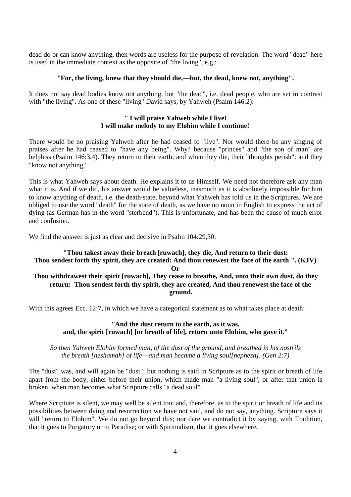dead do or can know anything, then words are useless for the purpose of revelation. The word "dead" here is used in the immediate context as the opposite of "the living", e.g.:

#### **"For, the living, knew that they should die,––but, the dead, knew not, anything".**

It does not say dead bodies know not anything, but "the dead", i.e. dead people, who are set in contrast with "the living". As one of these "living" David says, by Yahweh (Psalm 146:2):

#### **" I will praise Yahweh while I live! I will make melody to my Elohim while I continue!**

There would be no praising Yahweh after he had ceased to "live". Nor would there be any singing of praises after he had ceased to "have any being". Why? because "princes" and "the son of man" are helpless (Psalm 146:3,4). They return to their earth; and when they die, their "thoughts perish": and they "know not anything".

This is what Yahweh says about death. He explains it to us Himself. We need not therefore ask any man what it is. And if we did, his answer would be valueless, inasmuch as it is absolutely impossible for him to know anything of death, i.e. the death-state, beyond what Yahweh has told us in the Scriptures. We are obliged to use the word "death" for the state of death, as we have no noun in English to express the act of dying (as German has in the word "sterbend"). This is unfortunate, and has been the cause of much error and confusion.

We find the answer is just as clear and decisive in Psalm  $104:29.30$ :

#### **"Thou takest away their breath [ruwach], they die, And return to their dust: Thou sendest forth thy spirit, they are created: And thou renewest the face of the earth ". (KJV) Or Thou withdrawest their spirit [ruwach], They cease to breathe, And, unto their own dust, do they return: Thou sendest forth thy spirit, they are created, And thou renewest the face of the ground.**

With this agrees Ecc. 12:7, in which we have a categorical statement as to what takes place at death:

#### **"And the dust return to the earth, as it was, and, the spirit [ruwach] [or breath of life], return unto Elohim, who gave it."**

*So then Yahweh Elohim formed man, of the dust of the ground, and breathed in his nostrils the breath [neshamah] of life––and man became a living soul[nephesh]. (Gen 2:7)*

The "dust" was, and will again be "dust": but nothing is said in Scripture as to the spirit or breath of life apart from the body, either before their union, which made man "a living soul", or after that union is broken, when man becomes what Scripture calls "a dead soul".

Where Scripture is silent, we may well be silent too: and, therefore, as to the spirit or breath of life and its possibilities between dying and resurrection we have not said, and do not say, anything. Scripture says it will "return to Elohim". We do not go beyond this; nor dare we contradict it by saying, with Tradition, that it goes to Purgatory or to Paradise; or with Spiritualism, that it goes elsewhere.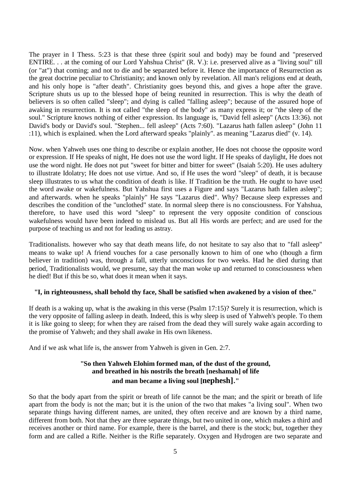The prayer in I Thess. 5:23 is that these three (spirit soul and body) may be found and "preserved ENTIRE. . . at the coming of our Lord Yahshua Christ" (R. V.): i.e. preserved alive as a "living soul" till (or "at") that coming; and not to die and be separated before it. Hence the importance of Resurrection as the great doctrine peculiar to Christianity; and known only by revelation. All man's religions end at death, and his only hope is "after death". Christianity goes beyond this, and gives a hope after the grave. Scripture shuts us up to the blessed hope of being reunited in resurrection. This is why the death of believers is so often called "sleep"; and dying is called "falling asleep"; because of the assured hope of awaking in resurrection. It is not called "the sleep of the body" as many express it; or "the sleep of the soul." Scripture knows nothing of either expression. Its language is, "David fell asleep" (Acts 13:36). not David's body or David's soul. "Stephen... fell asleep" (Acts 7:60). "Lazarus hath fallen asleep" (John 11 :11), which is explained. when the Lord afterward speaks "plainly". as meaning "Lazarus died" (v. 14).

Now. when Yahweh uses one thing to describe or explain another, He does not choose the opposite word or expression. If He speaks of night, He does not use the word light. If He speaks of daylight, He does not use the word night. He does not put "sweet for bitter and bitter for sweet" (Isaiah 5:20). He uses adultery to illustrate Idolatry; He does not use virtue. And so, if He uses the word "sleep" of death, it is because sleep illustrates to us what the condition of death is like. If Tradition be the truth. He ought to have used the word awake or wakefulness. But Yahshua first uses a Figure and says "Lazarus hath fallen asleep"; and afterwards. when he speaks "plainly" He says "Lazarus died". Why? Because sleep expresses and describes the condition of the "unclothed" state. In normal sleep there is no consciousness. For Yahshua, therefore, to have used this word "sleep" to represent the very opposite condition of conscious wakefulness would have been indeed to mislead us. But all His words are perfect; and are used for the purpose of teaching us and not for leading us astray.

Traditionalists. however who say that death means life, do not hesitate to say also that to "fall asleep" means to wake up! A friend vouches for a case personally known to him of one who (though a firm believer in tradition) was, through a fall, utterly unconscious for two weeks. Had he died during that period, Traditionalists would, we presume, say that the man woke up and returned to consciousness when he died! But if this be so, what does it mean when it says.

#### **"I, in righteousness, shall behold thy face, Shall be satisfied when awakened by a vision of thee."**

If death is a waking up, what is the awaking in this verse (Psalm 17:15)? Surely it is resurrection, which is the very opposite of falling asleep in death. Indeed, this is why sleep is used of Yahweh's people. To them it is like going to sleep; for when they are raised from the dead they will surely wake again according to the promise of Yahweh; and they shall awake in His own likeness.

And if we ask what life is, the answer from Yahweh is given in Gen. 2:7.

# **"So then Yahweh Elohim formed man, of the dust of the ground, and breathed in his nostrils the breath [neshamah] of life and man became a living soul [nephesh]."**

So that the body apart from the spirit or breath of life cannot be the man; and the spirit or breath of life apart from the body is not the man; but it is the union of the two that makes "a living soul". When two separate things having different names, are united, they often receive and are known by a third name, different from both. Not that they are three separate things, but two united in one, which makes a third and receives another or third name. For example, there is the barrel, and there is the stock; but, together they form and are called a Rifle. Neither is the Rifle separately. Oxygen and Hydrogen are two separate and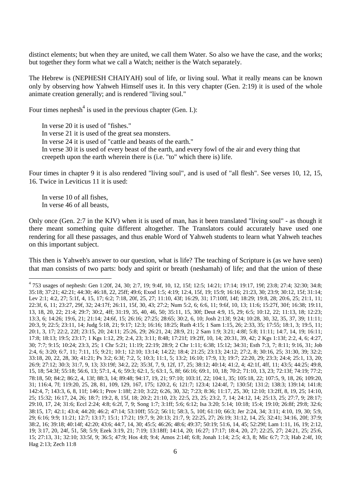distinct elements; but when they are united, we call them Water. So also we have the case, and the works; but together they form what we call a Watch; neither is the Watch separately.

The Hebrew is (NEPHESH CHAIYAH) soul of life, or living soul. What it really means can be known only by observing how Yahweh Himself uses it. In this very chapter (Gen. 2:19) it is used of the whole animate creation generally; and is rendered "living soul."

Four times nephesh<sup>4</sup> is used in the previous chapter (Gen. I.):

In verse 20 it is used of "fishes." In verse 21 it is used of the great sea monsters.

In verse 24 it is used of "cattle and beasts of the earth."

In verse 30 it is used of every beast of the earth, and every fowl of the air and every thing that creepeth upon the earth wherein there is (i.e. "to" which there is) life.

Four times in chapter 9 it is also rendered "living soul", and is used of "all flesh". See verses 10, 12, 15, 16. Twice in Leviticus 11 it is used:

In verse 10 of all fishes, In verse 46 of all beasts,

Only once (Gen. 2:7 in the KJV) when it is used of man, has it been translated "living soul" - as though it there meant something quite different altogether. The Translators could accurately have used one rendering for all these passages, and thus enable Word of Yahweh students to learn what Yahweh teaches on this important subject.

This then is Yahweh's answer to our question, what is life? The teaching of Scripture is (as we have seen) that man consists of two parts: body and spirit or breath (neshamah) of life; and that the union of these

<sup>4</sup> 753 usages of nephesh: Gen 1:20f, 24, 30; 2:7, 19; 9:4f, 10, 12, 15f; 12:5; 14:21; 17:14; 19:17, 19f; 23:8; 27:4; 32:30; 34:8; 35:18; 37:21; 42:21; 44:30; 46:18, 22, 25ff; 49:6; Exod 1:5; 4:19; 12:4, 15f, 19; 15:9; 16:16; 21:23, 30; 23:9; 30:12, 15f; 31:14; Lev 2:1; 4:2, 27; 5:1f, 4, 15, 17; 6:2; 7:18, 20f, 25, 27; 11:10, 43f; 16:29, 31; 17:10ff, 14f; 18:29; 19:8, 28; 20:6, 25; 21:1, 11; 22:3f, 6, 11; 23:27, 29f, 32; 24:17f; 26:11, 15f, 30, 43; 27:2; Num 5:2, 6; 6:6, 11; 9:6f, 10, 13; 11:6; 15:27f, 30f; 16:38; 19:11, 13, 18, 20, 22; 21:4; 29:7; 30:2, 4ff; 31:19, 35, 40, 46, 50; 35:11, 15, 30f; Deut 4:9, 15, 29; 6:5; 10:12, 22; 11:13, 18; 12:23; 13:3, 6; 14:26; 19:6, 21; 21:14; 24:6f, 15; 26:16; 27:25; 28:65; 30:2, 6, 10; Josh 2:13f; 9:24; 10:28, 30, 32, 35, 37, 39; 11:11; 20:3, 9; 22:5; 23:11, 14; Judg 5:18, 21; 9:17; 12:3; 16:16; 18:25; Ruth 4:15; 1 Sam 1:15, 26; 2:33, 35; 17:55; 18:1, 3; 19:5, 11; 20:1, 3, 17; 22:2, 22f; 23:15, 20; 24:11; 25:26, 29; 26:21, 24; 28:9, 21; 2 Sam 1:9; 3:21; 4:8f; 5:8; 11:11; 14:7, 14, 19; 16:11; 17:8; 18:13; 19:5; 23:17; 1 Kgs 1:12, 29; 2:4, 23; 3:11; 8:48; 17:21f; 19:2ff, 10, 14; 20:31, 39, 42; 2 Kgs 1:13f; 2:2, 4, 6; 4:27, 30; 7:7; 9:15; 10:24; 23:3, 25; 1 Chr 5:21; 11:19; 22:19; 28:9; 2 Chr 1:11; 6:38; 15:12; 34:31; Esth 7:3, 7; 8:11; 9:16, 31; Job 2:4, 6; 3:20; 6:7, 11; 7:11, 15; 9:21; 10:1; 12:10; 13:14; 14:22; 18:4; 21:25; 23:13; 24:12; 27:2, 8; 30:16, 25; 31:30, 39; 32:2; 33:18, 20, 22, 28, 30; 41:21; Ps 3:2; 6:3f; 7:2, 5; 10:3; 11:1, 5; 13:2; 16:10; 17:9, 13; 19:7; 22:20, 29; 23:3; 24:4; 25:1, 13, 20; 26:9; 27:12; 30:3; 31:7, 9, 13; 33:19f; 34:2, 22; 35:3f, 7, 9, 12f, 17, 25; 38:12; 40:14; 41:2, 4; 42:1f, 4ff, 11; 43:5; 44:25; 49:8, 15, 18; 54:3f; 55:18; 56:6, 13; 57:1, 4, 6; 59:3; 62:1, 5; 63:1, 5, 8f; 66:16; 69:1, 10, 18; 70:2; 71:10, 13, 23; 72:13f; 74:19; 77:2; 78:18, 50; 84:2; 86:2, 4, 13f; 88:3, 14; 89:48; 94:17, 19, 21; 97:10; 103:1f, 22; 104:1, 35; 105:18, 22; 107:5, 9, 18, 26; 109:20, 31; 116:4, 7f; 119:20, 25, 28, 81, 109, 129, 167, 175; 120:2, 6; 121:7; 123:4; 124:4f, 7; 130:5f; 131:2; 138:3; 139:14; 141:8; 142:4, 7; 143:3, 6, 8, 11f; 146:1; Prov 1:18f; 2:10; 3:22; 6:26, 30, 32; 7:23; 8:36; 11:17, 25, 30; 12:10; 13:2ff, 8, 19, 25; 14:10, 25; 15:32; 16:17, 24, 26; 18:7; 19:2, 8, 15f, 18; 20:2; 21:10, 23; 22:5, 23, 25; 23:2, 7, 14; 24:12, 14; 25:13, 25; 27:7, 9; 28:17; 29:10, 17, 24; 31:6; Eccl 2:24; 4:8; 6:2f, 7, 9; Song 1:7; 3:1ff; 5:6; 6:12; Isa 3:20; 5:14; 10:18; 15:4; 19:10; 26:8f; 29:8; 32:6; 38:15, 17; 42:1; 43:4; 44:20; 46:2; 47:14; 53:10ff; 55:2; 56:11; 58:3, 5, 10f; 61:10; 66:3; Jer 2:24, 34; 3:11; 4:10, 19, 30; 5:9, 29; 6:16; 9:9; 11:21; 12:7; 13:17; 15:1; 17:21; 19:7, 9; 20:13; 21:7, 9; 22:25, 27; 26:19; 31:12, 14, 25; 32:41; 34:16, 20f; 37:9; 38:2, 16; 39:18; 40:14f; 42:20; 43:6; 44:7, 14, 30; 45:5; 46:26; 48:6; 49:37; 50:19; 51:6, 14, 45; 52:29f; Lam 1:11, 16, 19; 2:12, 19; 3:17, 20, 24f, 51, 58; 5:9; Ezek 3:19, 21; 7:19; 13:18ff; 14:14, 20; 16:27; 17:17; 18:4, 20, 27; 22:25, 27; 24:21, 25; 25:6, 15; 27:13, 31; 32:10; 33:5f, 9; 36:5; 47:9; Hos 4:8; 9:4; Amos 2:14f; 6:8; Jonah 1:14; 2:5; 4:3, 8; Mic 6:7; 7:3; Hab 2:4f, 10; Hag 2:13; Zech 11:8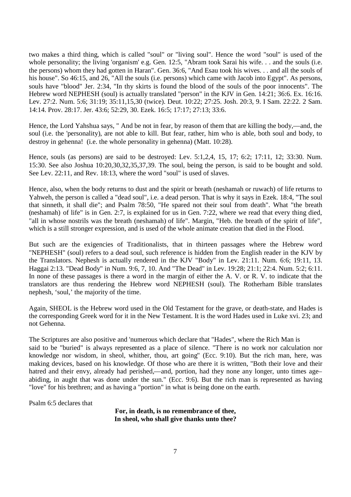two makes a third thing, which is called "soul" or "living soul". Hence the word "soul" is used of the whole personality; the living 'organism' e.g. Gen. 12:5, "Abram took Sarai his wife... and the souls (i.e. the persons) whom they had gotten in Haran". Gen. 36:6, "And Esau took his wives. . . and all the souls of his house". So 46:15, and 26, "All the souls (i.e. persons) which came with Jacob into Egypt". As persons, souls have "blood" Jer. 2:34, "In thy skirts is found the blood of the souls of the poor innocents". The Hebrew word NEPHESH (soul) is actually translated "person" in the KJV in Gen. 14:21; 36:6. Ex. 16:16. Lev. 27:2. Num. 5:6; 31:19; 35:11,15,30 (twice). Deut. 10:22; 27:25. Josh. 20:3, 9. I Sam. 22:22. 2 Sam. 14:14. Prov. 28:17. Jer. 43:6; 52:29, 30. Ezek. 16:5; 17:17; 27:13; 33:6.

Hence, the Lord Yahshua says, " And be not in fear, by reason of them that are killing the body,—and, the soul (i.e. the 'personality), are not able to kill. But fear, rather, him who is able, both soul and body, to destroy in gehenna! (i.e. the whole personality in gehenna) (Matt. 10:28).

Hence, souls (as persons) are said to be destroyed: Lev. 5:1,2,4, 15, 17; 6:2; 17:11, 12; 33:30. Num. 15:30. See also Joshua 10:20,30,32,35,37,39. The soul, being the person, is said to be bought and sold. See Lev. 22:11, and Rev. 18:13, where the word "soul" is used of slaves.

Hence, also, when the body returns to dust and the spirit or breath (neshamah or ruwach) of life returns to Yahweh, the person is called a "dead soul", i.e. a dead person. That is why it says in Ezek. 18:4, "The soul that sinneth, it shall die"; and Psalm 78:50, "He spared not their soul from death". What "the breath (neshamah) of life" is in Gen. 2:7, is explained for us in Gen. 7:22, where we read that every thing died, "all in whose nostrils was the breath (neshamah) of life". Margin, "Heb. the breath of the spirit of life", which is a still stronger expression, and is used of the whole animate creation that died in the Flood.

But such are the exigencies of Traditionalists, that in thirteen passages where the Hebrew word "NEPHESH" (soul) refers to a dead soul, such reference is hidden from the English reader in the KJV by the Translators. Nephesh is actually rendered in the KJV "Body" in Lev. 21:11. Num. 6:6; 19:11, 13. Haggai 2:13. "Dead Body" in Num. 9:6, 7, 10. And "The Dead" in Lev. 19:28; 21:1; 22:4. Num. 5:2; 6:11. In none of these passages is there a word in the margin of either the A. V. or R. V. to indicate that the translators are thus rendering the Hebrew word NEPHESH (soul). The Rotherham Bible translates nephesh, 'soul,' the majority of the time.

Again, SHEOL is the Hebrew word used in the Old Testament for the grave, or death-state, and Hades is the corresponding Greek word for it in the New Testament. It is the word Hades used in Luke xvi. 23; and not Gehenna.

The Scriptures are also positive and 'numerous which declare that "Hades", where the Rich Man is said to be "buried" is always represented as a place of silence. "There is no work nor calculation nor knowledge nor wisdom, in sheol, whither, thou, art going" (Ecc. 9:10). But the rich man, here, was making devices, based on his knowledge. Of those who are there it is written, "Both their love and their hatred and their envy, already had perished,—and, portion, had they none any longer, unto times age– abiding, in aught that was done under the sun." (Ecc. 9:6). But the rich man is represented as having "love" for his brethren; and as having a "portion" in what is being done on the earth.

Psalm 6:5 declares that

**For, in death, is no remembrance of thee, In sheol, who shall give thanks unto thee?**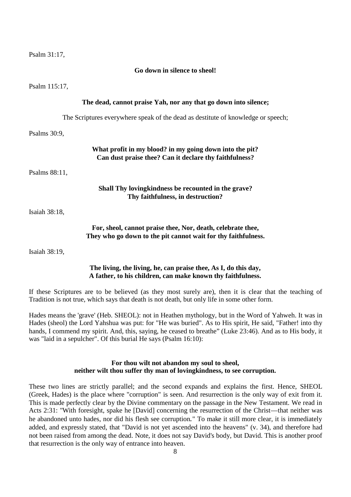Psalm 31:17,

#### **Go down in silence to sheol!**

Psalm 115:17,

|                 | The dead, cannot praise Yah, nor any that go down into silence;                                                              |
|-----------------|------------------------------------------------------------------------------------------------------------------------------|
|                 | The Scriptures everywhere speak of the dead as destitute of knowledge or speech;                                             |
| Psalms $30:9$ , |                                                                                                                              |
|                 | What profit in my blood? in my going down into the pit?<br>Can dust praise thee? Can it declare thy faithfulness?            |
| Psalms 88:11,   |                                                                                                                              |
|                 | Shall Thy loving kindness be recounted in the grave?<br>Thy faithfulness, in destruction?                                    |
| Isaiah 38:18,   |                                                                                                                              |
|                 | For, sheol, cannot praise thee, Nor, death, celebrate thee,<br>They who go down to the pit cannot wait for thy faithfulness. |
| Isaiah 38:19,   |                                                                                                                              |

#### **The living, the living, he, can praise thee, As I, do this day, A father, to his children, can make known thy faithfulness.**

If these Scriptures are to be believed (as they most surely are), then it is clear that the teaching of Tradition is not true, which says that death is not death, but only life in some other form.

Hades means the 'grave' (Heb. SHEOL): not in Heathen mythology, but in the Word of Yahweh. It was in Hades (sheol) the Lord Yahshua was put: for "He was buried". As to His spirit, He said, "Father! into thy hands, I commend my spirit. And, this, saying, he ceased to breathe" (Luke 23:46). And as to His body, it was "laid in a sepulcher". Of this burial He says (Psalm 16:10):

## **For thou wilt not abandon my soul to sheol, neither wilt thou suffer thy man of lovingkindness, to see corruption.**

These two lines are strictly parallel; and the second expands and explains the first. Hence, SHEOL (Greek, Hades) is the place where "corruption" is seen. And resurrection is the only way of exit from it. This is made perfectly clear by the Divine commentary on the passage in the New Testament. We read in Acts 2:31: "With foresight, spake he [David] concerning the resurrection of the Christ—that neither was he abandoned unto hades, nor did his flesh see corruption." To make it still more clear, it is immediately added, and expressly stated, that "David is not yet ascended into the heavens" (v. 34), and therefore had not been raised from among the dead. Note, it does not say David's body, but David. This is another proof that resurrection is the only way of entrance into heaven.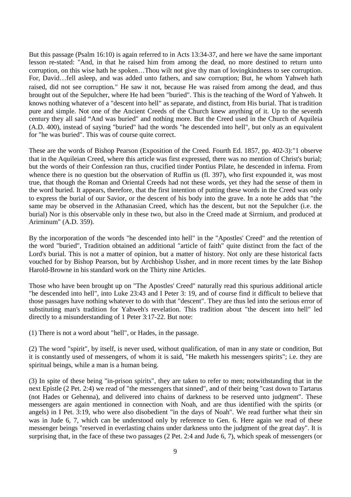But this passage (Psalm 16:10) is again referred to in Acts 13:34-37, and here we have the same important lesson re-stated: "And, in that he raised him from among the dead, no more destined to return unto corruption, on this wise hath he spoken…Thou wilt not give thy man of lovingkindness to see corruption. For, David…fell asleep, and was added unto fathers, and saw corruption; But, he whom Yahweh hath raised, did not see corruption." He saw it not, because He was raised from among the dead, and thus brought out of the Sepulcher, where He had been "buried". This is the teaching of the Word of Yahweh. It knows nothing whatever of a "descent into hell" as separate, and distinct, from His burial. That is tradition pure and simple. Not one of the Ancient Creeds of the Church knew anything of it. Up to the seventh century they all said "And was buried" and nothing more. But the Creed used in the Church of Aquileia (A.D. 400), instead of saying "buried" had the words "he descended into hell", but only as an equivalent for "he was buried". This was of course quite correct.

These are the words of Bishop Pearson (Exposition of the Creed. Fourth Ed. 1857, pp. 402-3):"1 observe that in the Aquileian Creed, where this article was first expressed, there was no mention of Christ's burial; but the words of their Confession ran thus, crucified tinder Pontius Pilate, he descended in inferna. From whence there is no question but the observation of Ruffin us (fl. 397), who first expounded it, was most true, that though the Roman and Oriental Creeds had not these words, yet they had the sense of them in the word buried. It appears, therefore, that the first intention of putting these words in the Creed was only to express the burial of our Savior, or the descent of his body into the grave. In a note he adds that "the same may be observed in the Athanasian Creed, which has the descent, but not the Sepulcher (i.e. the burial) Nor is this observable only in these two, but also in the Creed made at Sirrnium, and produced at Arirninum" (A.D. 359).

By the incorporation of the words "he descended into hell" in the "Apostles' Creed" and the retention of the word "buried", Tradition obtained an additional "article of faith" quite distinct from the fact of the Lord's burial. This is not a matter of opinion, but a matter of history. Not only are these historical facts vouched for by Bishop Pearson, but by Archbishop Ussher, and in more recent times by the late Bishop Harold-Browne in his standard work on the Thirty nine Articles.

Those who have been brought up on "The Apostles' Creed" naturally read this spurious additional article "he descended into hell", into Luke 23:43 and I Peter 3: 19, and of course find it difficult to believe that those passages have nothing whatever to do with that "descent". They are thus led into the serious error of substituting man's tradition for Yahweh's revelation. This tradition about "the descent into hell" led directly to a misunderstanding of 1 Peter 3:17-22. But note:

(1) There is not a word about "hell", or Hades, in the passage.

(2) The word "spirit", by itself, is never used, without qualification, of man in any state or condition, But it is constantly used of messengers, of whom it is said, "He maketh his messengers spirits"; i.e. they are spiritual beings, while a man is a human being.

(3) In spite of these being "in-prison spirits", they are taken to refer to men; notwithstanding that in the next Epistle (2 Pet. 2:4) we read of "the messengers that sinned", and of their being "cast down to Tartarus (not Hades or Gehenna), and delivered into chains of darkness to be reserved unto judgment". These messengers are again mentioned in connection with Noah, and are thus identified with the spirits (or angels) in I Pet. 3:19, who were also disobedient "in the days of Noah". We read further what their sin was in Jude 6, 7, which can be understood only by reference to Gen. 6. Here again we read of these messenger beings "reserved in everlasting chains under darkness unto the judgment of the great day". It is surprising that, in the face of these two passages (2 Pet. 2:4 and Jude 6, 7), which speak of messengers (or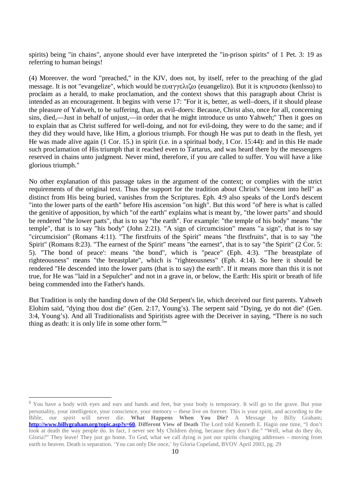spirits) being "in chains", anyone should ever have interpreted the "in-prison spirits" of 1 Pet. 3: 19 as referring to human beings!

(4) Moreover. the word "preached," in the KJV, does not, by itself, refer to the preaching of the glad message. It is not "evangelize", which would be  $\epsilon \nu \alpha \gamma \gamma \epsilon \lambda \zeta \omega$  (euangelizo). But it is  $\kappa \eta \rho \nu \sigma \sigma \omega$  (kenlsso) to proclaim as a herald, to make proclamation, and the context shows that this paragraph about Christ is intended as an encouragement. It begins with verse 17: "For it is, better, as well–doers, if it should please the pleasure of Yahweh, to be suffering, than, as evil–doers: Because, Christ also, once for all, concerning sins, died,––Just in behalf of unjust,––in order that he might introduce us unto Yahweh;" Then it goes on to explain that as Christ suffered for well-doing, and not for evil-doing, they were to do the same; and if they did they would have, like Him, a glorious triumph. For though He was put to death in the flesh, yet He was made alive again (1 Cor. 15.) in spirit (i.e. in a spiritual body, I Cor. 15:44): and in this He made such proclamation of His triumph that it reached even to Tartarus, and was heard there by the messengers reserved in chains unto judgment. Never mind, therefore, if you are called to suffer. You will have a like glorious triumph."

No other explanation of this passage takes in the argument of the context; or complies with the strict requirements of the original text. Thus the support for the tradition about Christ's "descent into hell" as distinct from His being buried, vanishes from the Scriptures. Eph. 4:9 also speaks of the Lord's descent "into the lower parts of the earth" before His ascension "on high". But this word "of' here is what is called the genitive of apposition, by which "of the earth" explains what is meant by, "the lower parts" and should be rendered "the lower parts", that is to say "the earth". For example: "the temple of his body" means "the temple", that is to say "his body" (John 2:21). "A sign of circumcision" means "a sign", that is to say "circumcision" (Romans 4:11). "The firstfruits of the Spirit" means "the flrstfruits", that is to say "the Spirit" (Romans 8:23). "The earnest of the Spirit" means "the earnest", that is to say "the Spirit" (2 Cor. 5: 5). "The bond of peace': means "the bond", which is "peace" (Eph. 4:3). "The breastplate of righteousness" means "the breastplate", which is "righteousness" (Eph. 4:14). So here it should be rendered "He descended into the lower parts (that is to say) the earth". If it means more than this it is not true, for He was "laid in a Sepulcher" and not in a grave in, or below, the Earth: His spirit or breath of life being commended into the Father's hands.

But Tradition is only the handing down of the Old Serpent's lie, which deceived our first parents. Yahweh Elohim said, "dying thou dost die" (Gen. 2:17, Young's). The serpent said "Dying, ye do not die" (Gen. 3:4, Young's). And all Traditionalists and Spiritists agree with the Deceiver in saying, "There is no such thing as death: it is only life in some other form.<sup>5</sup>"

<sup>&</sup>lt;sup>5</sup> You have a body with eyes and ears and hands and feet, but your body is temporary. It will go to the grave. But your personality, your intelligence, your conscience, your memory -- these live on forever. This is your spirit, and according to the Bible, our spirit will never die. **What Happens When You Die?** A Message by Billy Graham; **http://www.billygraham.org/topic.asp?s=60. Different View of Death** The Lord told Kenneth E. Hagin one time, "I don't look at death the way people do. In fact, I never see My Children dying, because they don't die." "Well, what do they do, Gloria?" They leave! They just go home. To God, what we call dying is just our spirits changing addresses – moving from earth to heaven. Death is separation. 'You can only Die once,' by Gloria Copeland, BVOV April 2003, pg. 29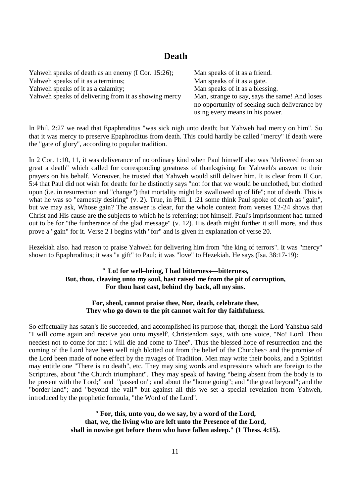# **Death**

| Yahweh speaks of death as an enemy (I Cor. 15:26);   | Man speaks of it as a friend.                 |
|------------------------------------------------------|-----------------------------------------------|
| Yahweh speaks of it as a terminus;                   | Man speaks of it as a gate.                   |
| Yahweh speaks of it as a calamity;                   | Man speaks of it as a blessing.               |
| Yahweh speaks of delivering from it as showing mercy | Man, strange to say, says the same! And loses |
|                                                      | no opportunity of seeking such deliverance by |
|                                                      | using every means in his power.               |

In Phil. 2:27 we read that Epaphroditus "was sick nigh unto death; but Yahweh had mercy on him". So that it was mercy to preserve Epaphroditus from death. This could hardly be called "mercy" if death were the "gate of glory", according to popular tradition.

In 2 Cor. 1:10, 11, it was deliverance of no ordinary kind when Paul himself also was "delivered from so great a death" which called for corresponding greatness of thanksgiving for Yahweh's answer to their prayers on his behalf. Moreover, he trusted that Yahweh would still deliver him. It is clear from II Cor. 5:4 that Paul did not wish for death: for he distinctly says "not for that we would be unclothed, but clothed upon (i.e. in resurrection and "change") that mortality might be swallowed up of life"; not of death. This is what he was so "earnestly desiring" (v. 2). True, in Phil. 1:21 some think Paul spoke of death as "gain", but we may ask, Whose gain? The answer is clear, for the whole context from verses 12-24 shows that Christ and His cause are the subjects to which he is referring; not himself. Paul's imprisonment had turned out to be for "the furtherance of the glad message" (v. 12). His death might further it still more, and thus prove a "gain" for it. Verse 2 I begins with "for" and is given in explanation of verse 20.

Hezekiah also. had reason to praise Yahweh for delivering him from "the king of terrors". It was "mercy" shown to Epaphroditus; it was "a gift" to Paul; it was "love" to Hezekiah. He says (Isa. 38:17-19):

# **" Lo! for well–being, I had bitterness––bitterness, But, thou, cleaving unto my soul, hast raised me from the pit of corruption, For thou hast cast, behind thy back, all my sins.**

#### **For, sheol, cannot praise thee, Nor, death, celebrate thee, They who go down to the pit cannot wait for thy faithfulness.**

So effectually has satan's lie succeeded, and accomplished its purpose that, though the Lord Yahshua said "I will come again and receive you unto myself', Christendom says, with one voice, "No! Lord. Thou needest not to come for me: I will die and come to Thee". Thus the blessed hope of resurrection and the coming of the Lord have been well nigh blotted out from the belief of the Churches~ and the promise of the Lord been made of none effect by the ravages of Tradition. Men may write their books, and a Spiritist may entitle one "There is no death", etc. They may sing words and expressions which are foreign to the Scriptures, about "the Church triumphant". They may speak of having "being absent from the body is to be present with the Lord;" and "passed on"; and about the "home going"; and "the great beyond"; and the "border-land"; and "beyond the vail'" but against all this we set a special revelation from Yahweh, introduced by the prophetic formula, "the Word of the Lord".

> **" For, this, unto you, do we say, by a word of the Lord, that, we, the living who are left unto the Presence of the Lord, shall in nowise get before them who have fallen asleep." (1 Thess. 4:15).**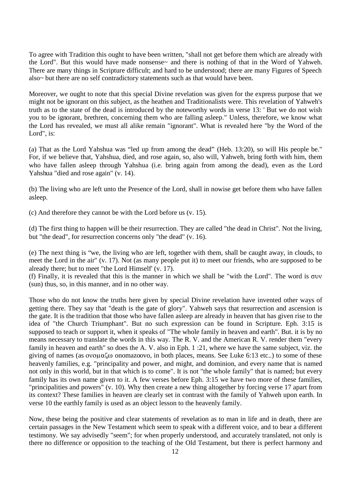To agree with Tradition this ought to have been written, "shall not get before them which are already with the Lord". But this would have made nonsense~ and there is nothing of that in the Word of Yahweh. There are many things in Scripture difficult; and hard to be understood; there are many Figures of Speech also~ but there are no self contradictory statements such as that would have been.

Moreover, we ought to note that this special Divine revelation was given for the express purpose that we might not be ignorant on this subject, as the heathen and Traditionalists were. This revelation of Yahweh's truth as to the state of the dead is introduced by the noteworthy words in verse 13: ' But we do not wish you to be ignorant, brethren, concerning them who are falling asleep." Unless, therefore, we know what the Lord has revealed, we must all alike remain "ignorant". What is revealed here "by the Word of the Lord", is:

(a) That as the Lord Yahshua was "led up from among the dead" (Heb. 13:20), so will His people be." For, if we believe that, Yahshua, died, and rose again, so, also will, Yahweh, bring forth with him, them who have fallen asleep through Yahshua (i.e. bring again from among the dead), even as the Lord Yahshua "died and rose again" (v. 14).

(b) The living who are left unto the Presence of the Lord, shall in nowise get before them who have fallen asleep.

(c) And therefore they cannot be with the Lord before us (v. 15).

(d) The first thing to happen will be their resurrection. They are called "the dead in Christ". Not the living, but "the dead", for resurrection concerns only "the dead" (v. 16).

(e) The next thing is "we, the living who are left, together with them, shall be caught away, in clouds, to meet the Lord in the air" (v. 17). Not (as many people put it) to meet our friends, who are supposed to be already there; but to meet "the Lord Himself' (v. 17).

(f) Finally, it is revealed that this is the manner in which we shall be "with the Lord". The word is  $\sigma$ uv (sun) thus, so, in this manner, and in no other way.

Those who do not know the truths here given by special Divine revelation have invented other ways of getting there. They say that "death is the gate of glory". Yahweh says that resurrection and ascension is the gate. It is the tradition that those who have fallen asleep are already in heaven that has given rise to the idea of "the Church Triumphant". But no such expression can be found in Scripture. Eph. 3:15 is supposed to teach or support it, when it speaks of "The whole family in heaven and earth". But. it is by no means necessary to translate the words in this way. The R. V. and the American R. V. render them "every family in heaven and earth" so does the A. V. also in Eph. 1 :21, where we have the same subject, viz. the giving of names (as  $ov$  $\alpha\zeta$  $\omega$  onomazoovo, in both places, means. See Luke 6:13 etc..) to some of these heavenly families, e.g. "principality and power, and might, and dominion, and every name that is named not only in this world, but in that which is to come". It is not "the whole family" that is named; but every family has its own name given to it. A few verses before Eph. 3:15 we have two more of these families, "principalities and powers" (v. 10). Why then create a new thing altogether by forcing verse 17 apart from its context? These families in heaven are clearly set in contrast with the family of Yahweh upon earth. In verse 10 the earthly family is used as an object lesson to the heavenly family.

Now, these being the positive and clear statements of revelation as to man in life and in death, there are certain passages in the New Testament which seem to speak with a different voice, and to bear a different testimony. We say advisedly "seem"; for when properly understood, and accurately translated, not only is there no difference or opposition to the teaching of the Old Testament, but there is perfect harmony and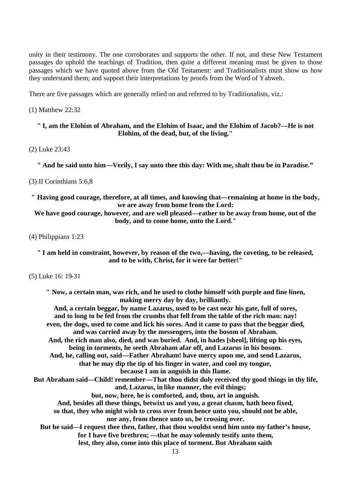unity in their testimony. The one corroborates and supports the other. If not, and these New Testament passages do uphold the teachings of Tradition, then quite a different meaning must be given to those passages which we have quoted above from the Old Testament: and Traditionalists must show us how they understand them; and support their interpretations by proofs from the Word of Yahweh.

There are five passages which are generally relied on and referred to by Traditionalists, viz.:

#### (1) Matthew 22:32

### **" I, am the Elohim of Abraham, and the Elohim of Isaac, and the Elohim of Jacob?––He is not Elohim, of the dead, but, of the living."**

(2) Luke 23:43

**" And he said unto him––Verily, I say unto thee this day: With me, shalt thou be in Paradise."**

#### (3) II Corinthians 5:6,8

**" Having good courage, therefore, at all times, and knowing that––remaining at home in the body, we are away from home from the Lord:**

**We have good courage, however, and are well pleased––rather to be away from home, out of the body, and to come home, unto the Lord."**

(4) Philippians 1:23

**" I am held in constraint, however, by reason of the two,––having, the coveting, to be released, and to be with, Christ, for it were far better!"**

(5) Luke 16: 19-31

**" Now, a certain man, was rich, and he used to clothe himself with purple and fine linen, making merry day by day, brilliantly. And, a certain beggar, by name Lazarus, used to be cast near his gate, full of sores, and to long to be fed from the crumbs that fell from the table of the rich man: nay! even, the dogs, used to come and lick his sores. And it came to pass that the beggar died, and was carried away by the messengers, into the bosom of Abraham. And, the rich man also, died, and was buried. And, in hades [sheol], lifting up his eyes, being in torments, he seeth Abraham afar off, and Lazarus in his bosom. And, he, calling out, said––Father Abraham! have mercy upon me, and send Lazarus, that he may dip the tip of his finger in water, and cool my tongue, because I am in anguish in this flame. But Abraham said––Child! remember––That thou didst duly received thy good things in thy life, and, Lazarus, in like manner, the evil things; but, now, here, he is comforted, and, thou, art in anguish. And, besides all these things, betwixt us and you, a great chasm, hath been fixed, so that, they who might wish to cross over from hence unto you, should not be able, nor any, from thence unto us, be crossing over. But he said––I request thee then, father, that thou wouldst send him unto my father's house, for I have five brethren; ––that he may solemnly testify unto them, lest, they also, come into this place of torment. But Abraham saith**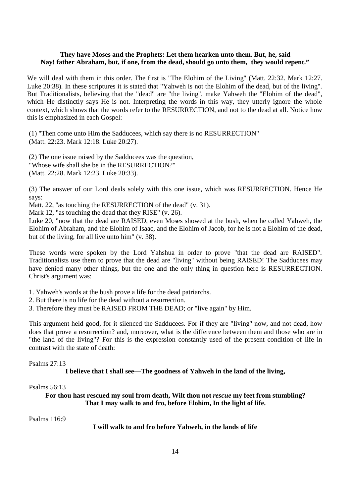#### **They have Moses and the Prophets: Let them hearken unto them. But, he, said Nay! father Abraham, but, if one, from the dead, should go unto them, they would repent."**

We will deal with them in this order. The first is "The Elohim of the Living" (Matt. 22:32. Mark 12:27. Luke 20:38). In these scriptures it is stated that "Yahweh is not the Elohim of the dead, but of the living". But Traditionalists, believing that the "dead" are "the living", make Yahweh the "Elohim of the dead", which He distinctly says He is not. Interpreting the words in this way, they utterly ignore the whole context, which shows that the words refer to the RESURRECTION, and not to the dead at all. Notice how this is emphasized in each Gospel:

(1) "Then come unto Him the Sadducees, which say there is no RESURRECTION" (Matt. 22:23. Mark 12:18. Luke 20:27).

(2) The one issue raised by the Sadducees was the question, "Whose wife shall she be in the RESURRECTION?" (Matt. 22:28. Mark 12:23. Luke 20:33).

(3) The answer of our Lord deals solely with this one issue, which was RESURRECTION. Hence He says:

Matt. 22, "as touching the RESURRECTION of the dead" (v. 31).

Mark 12, "as touching the dead that they RISE" (v. 26).

Luke 20, "now that the dead are RAISED, even Moses showed at the bush, when he called Yahweh, the Elohim of Abraham, and the Elohim of Isaac, and the Elohim of Jacob, for he is not a Elohim of the dead, but of the living, for all live unto him" (v. 38).

These words were spoken by the Lord Yahshua in order to prove "that the dead are RAISED". Traditionalists use them to prove that the dead are "living" without being RAISED! The Sadducees may have denied many other things, but the one and the only thing in question here is RESURRECTION. Christ's argument was:

1. Yahweh's words at the bush prove a life for the dead patriarchs.

- 2. But there is no life for the dead without a resurrection.
- 3. Therefore they must be RAISED FROM THE DEAD; or "live again" by Him.

This argument held good, for it silenced the Sadducees. For if they are "living" now, and not dead, how does that prove a resurrection? and, moreover, what is the difference between them and those who are in "the land of the living"? For this is the expression constantly used of the present condition of life in contrast with the state of death:

Psalms 27:13

#### **I believe that I shall see––The goodness of Yahweh in the land of the living,**

#### Psalms 56:13

**For thou hast rescued my soul from death, Wilt thou not** *rescue* **my feet from stumbling? That I may walk to and fro, before Elohim, In the light of life.**

Psalms 116:9

**I will walk to and fro before Yahweh, in the lands of life**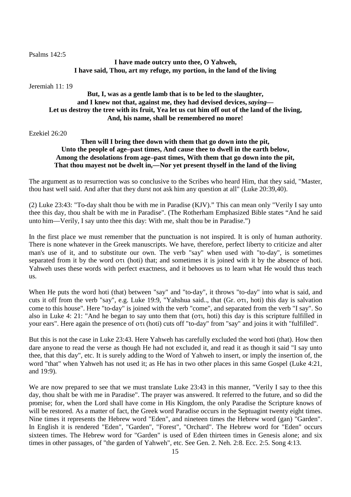#### Psalms 142:5

# **I have made outcry unto thee, O Yahweh, I have said, Thou, art my refuge, my portion, in the land of the living**

Jeremiah 11: 19

# **But, I, was as a gentle lamb that is to be led to the slaughter, and I knew not that, against me, they had devised devices,** *saying***–– Let us destroy the tree with its fruit, Yea let us cut him off out of the land of the living, And, his name, shall be remembered no more!**

#### Ezekiel 26:20

# **Then will I bring thee down with them that go down into the pit, Unto the people of age–past times, And cause thee to dwell in the earth below, Among the desolations from age–past times, With them that go down into the pit, That thou mayest not be dwelt in,––Nor yet present thyself in the land of the living**

The argument as to resurrection was so conclusive to the Scribes who heard Him, that they said, "Master, thou hast well said. And after that they durst not ask him any question at all" (Luke 20:39,40).

(2) Luke 23:43: "To-day shalt thou be with me in Paradise (KJV)." This can mean only "Verily I say unto thee this day, thou shalt be with me in Paradise". (The Rotherham Emphasized Bible states "And he said unto him––Verily, I say unto thee this day: With me, shalt thou be in Paradise.")

In the first place we must remember that the punctuation is not inspired. It is only of human authority. There is none whatever in the Greek manuscripts. We have, therefore, perfect liberty to criticize and alter man's use of it, and to substitute our own. The verb "say" when used with "to-day", is sometimes separated from it by the word  $\sigma\tau$  (hoti) that; and sometimes it is joined with it by the absence of hoti. Yahweh uses these words with perfect exactness, and it behooves us to learn what He would thus teach us.

When He puts the word hoti (that) between "say" and "to-day", it throws "to-day" into what is said, and cuts it off from the verb "say", e.g. Luke 19:9, "Yahshua said.., that (Gr. oti, hoti) this day is salvation come to this house". Here "to-day" is joined with the verb "come", and separated from the verb "I say". So also in Luke 4: 21: "And he began to say unto them that ( $\sigma\tau$ ), hoti) this day is this scripture fulfilled in your ears". Here again the presence of oti (hoti) cuts off "to-day" from "say" and joins it with "fulfilled".

But this is not the case in Luke 23:43. Here Yahweh has carefully excluded the word hoti (that). How then dare anyone to read the verse as though He had not excluded it, and read it as though it said "I say unto thee, that this day", etc. It is surely adding to the Word of Yahweh to insert, or imply the insertion of, the word "that" when Yahweh has not used it; as He has in two other places in this same Gospel (Luke 4:21, and 19:9).

We are now prepared to see that we must translate Luke 23:43 in this manner, "Verily I say to thee this day, thou shalt be with me in Paradise". The prayer was answered. It referred to the future, and so did the promise; for, when the Lord shall have come in His Kingdom, the only Paradise the Scripture knows of will be restored. As a matter of fact, the Greek word Paradise occurs in the Septuagint twenty eight times. Nine times it represents the Hebrew word "Eden", and nineteen times the Hebrew word (gan) "Garden". In English it is rendered "Eden", "Garden", "Forest", "Orchard". The Hebrew word for "Eden" occurs sixteen times. The Hebrew word for "Garden" is used of Eden thirteen times in Genesis alone; and six times in other passages, of "the garden of Yahweh", etc. See Gen. 2. Neh. 2:8. Ecc. 2:5. Song 4:13.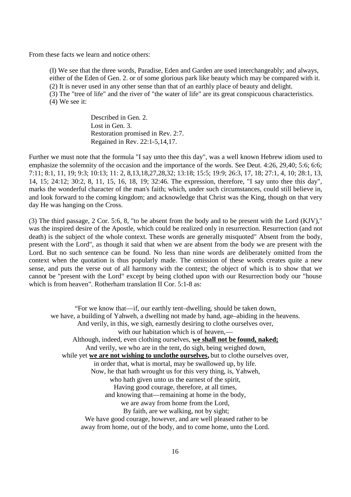From these facts we learn and notice others:

(I) We see that the three words, Paradise, Eden and Garden are used interchangeably; and always, either of the Eden of Gen. 2. or of some glorious park like beauty which may be compared with it. (2) It is never used in any other sense than that of an earthly place of beauty and delight. (3) The "tree of life" and the river of "the water of life" are its great conspicuous characteristics. (4) We see it:

> Described in Gen. 2. Lost in Gen. 3. Restoration promised in Rev. 2:7. Regained in Rev. 22:1-5,14,17.

Further we must note that the formula "I say unto thee this day", was a well known Hebrew idiom used to emphasize the solemnity of the occasion and the importance of the words. See Deut. 4:26, 29,40; 5:6; 6:6; 7:11; 8:1, 11, 19; 9:3; 10:13; 11: 2, 8,13,18,27,28,32; 13:18; 15:5; 19:9; 26:3, 17, 18; 27:1, 4, 10; 28:1, 13, 14, 15; 24:12; 30:2, 8, 11, 15, 16, 18, 19; 32:46. The expression, therefore, "I say unto thee this day", marks the wonderful character of the man's faith; which, under such circumstances, could still believe in, and look forward to the coming kingdom; and acknowledge that Christ was the King, though on that very day He was hanging on the Cross.

(3) The third passage, 2 Cor. 5:6, 8, "to be absent from the body and to be present with the Lord (KJV)," was the inspired desire of the Apostle, which could be realized only in resurrection. Resurrection (and not death) is the subject of the whole context. These words are generally misquoted" Absent from the body, present with the Lord", as though it said that when we are absent from the body we are present with the Lord. But no such sentence can be found. No less than nine words are deliberately omitted from the context when the quotation is thus popularly made. The omission of these words creates quite a new sense, and puts the verse out of all harmony with the context; the object of which is to show that we cannot be "present with the Lord" except by being clothed upon with our Resurrection body our "house which is from heaven". Rotherham translation II Cor. 5:1-8 as:

"For we know that––if, our earthly tent–dwelling, should be taken down, we have, a building of Yahweh, a dwelling not made by hand, age–abiding in the heavens. And verily, in this, we sigh, earnestly desiring to clothe ourselves over, with our habitation which is of heaven,— Although, indeed, even clothing ourselves, **we shall not be found, naked;** And verily, we who are in the tent, do sigh, being weighed down, while yet **we are not wishing to unclothe ourselves,** but to clothe ourselves over, in order that, what is mortal, may be swallowed up, by life. Now, he that hath wrought us for this very thing, is, Yahweh, who hath given unto us the earnest of the spirit. Having good courage, therefore, at all times, and knowing that––remaining at home in the body, we are away from home from the Lord, By faith, are we walking, not by sight; We have good courage, however, and are well pleased rather to be away from home, out of the body, and to come home, unto the Lord.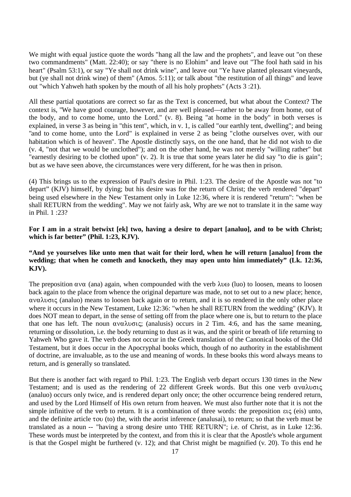We might with equal justice quote the words "hang all the law and the prophets", and leave out "on these two commandments" (Matt. 22:40); or say "there is no Elohim" and leave out "The fool hath said in his heart" (Psalm 53:1), or say "Ye shall not drink wine", and leave out "Ye have planted pleasant vineyards, but (ye shall not drink wine) of them" (Amos. 5:11); or talk about "the restitution of all things" and leave out "which Yahweh hath spoken by the mouth of all his holy prophets" (Acts 3 :21).

All these partial quotations are correct so far as the Text is concerned, but what about the Context? The context is, "We have good courage, however, and are well pleased––rather to be away from home, out of the body, and to come home, unto the Lord." (v. 8). Being "at home in the body" in both verses is explained, in verse 3 as being in "this tent", which, in v. 1, is called "our earthly tent, dwelling"; and being "and to come home, unto the Lord" is explained in verse 2 as being "clothe ourselves over, with our habitation which is of heaven". The Apostle distinctly says, on the one hand, that he did not wish to die (v. 4, "not that we would be unclothed"); and on the other hand, he was not merely "willing rather" but "earnestly desiring to be clothed upon" (v. 2). It is true that some years later he did say "to die is gain"; but as we have seen above, the circumstances were very different, for he was then in prison.

(4) This brings us to the expression of Paul's desire in Phil. 1:23. The desire of the Apostle was not "to depart" (KJV) himself, by dying; but his desire was for the return of Christ; the verb rendered "depart" being used elsewhere in the New Testament only in Luke 12:36, where it is rendered "return": "when be shall RETURN from the wedding". May we not fairly ask, Why are we not to translate it in the same way in Phil. 1 :23?

#### **For I am in a strait betwixt [ek] two, having a desire to depart [analuo], and to be with Christ; which is far better" (Phil. 1:23, KJV).**

#### **"And ye yourselves like unto men that wait for their lord, when he will return [analuo] from the wedding; that when he cometh and knocketh, they may open unto him immediately" (Lk. 12:36, KJV).**

The preposition  $\alpha \vee \alpha$  (ana) again, when compounded with the verb  $\lambda \vee \omega$  (luo) to loosen, means to loosen back again to the place from whence the original departure was made, not to set out to a new place; hence,  $\alpha$ ναλυσις (analuo) means to loosen back again or to return, and it is so rendered in the only other place where it occurs in the New Testament, Luke 12:36: "when he shall RETURN from the wedding" (KJV). It does NOT mean to depart, in the sense of setting off from the place where one is, but to return to the place that one has left. The noun  $\alpha \vee \alpha \lambda \vee \sigma \vee \varsigma$ ; (analusis) occurs in 2 Tim. 4:6, and has the same meaning, returning or dissolution, i.e. the body returning to dust as it was, and the spirit or breath of life returning to Yahweh Who gave it. The verb does not occur in the Greek translation of the Canonical books of the Old Testament, but it does occur in the Apocryphal books which, though of no authority in the establishment of doctrine, are invaluable, as to the use and meaning of words. In these books this word always means to return, and is generally so translated.

But there is another fact with regard to Phil. 1:23. The English verb depart occurs 130 times in the New Testament; and is used as the rendering of 22 different Greek words. But this one verb  $\alpha \vee \alpha \wedge \alpha \vee \alpha \wedge \alpha \vee \alpha$ (analuo) occurs only twice, and is rendered depart only once; the other occurrence being rendered return, and used by the Lord Himself of His own return from heaven. We must also further note that it is not the simple infinitive of the verb to return. It is a combination of three words: the preposition  $\epsilon \iota \zeta$  (eis) unto, and the definite article tou (to) the, with the aorist inference (analusai), to return; so that the verb must be translated as a noun -- "having a strong desire unto THE RETURN"; i.e. of Christ, as in Luke 12:36. These words must be interpreted by the context, and from this it is clear that the Apostle's whole argument is that the Gospel might be furthered (v. 12); and that Christ might be magnified (v. 20). To this end he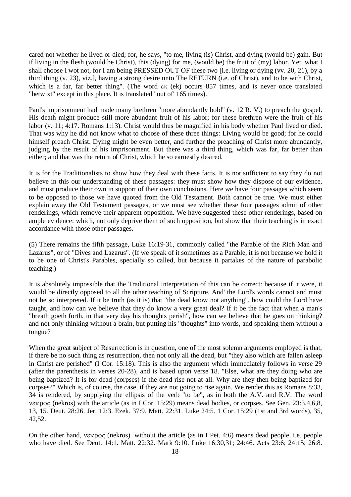cared not whether he lived or died; for, he says, "to me, living (is) Christ, and dying (would be) gain. But if living in the flesh (would be Christ), this (dying) for me, (would be) the fruit of (my) labor. Yet, what I shall choose I wot not, for I am being PRESSED OUT OF these two [i.e. living or dying (vv. 20, 21), by a third thing (v. 23), viz.], having a strong desire unto The RETURN (i.e. of Christ), and to be with Christ, which is a far, far better thing". (The word  $\epsilon$ <sub>K</sub> (ek) occurs 857 times, and is never once translated "betwixt" except in this place. It is translated "out of' 165 times).

Paul's imprisonment had made many brethren "more abundantly bold" (v. 12 R. V.) to preach the gospel. His death might produce still more abundant fruit of his labor; for these brethren were the fruit of his labor (v. 11; 4:17. Romans 1:13). Christ would thus be magnified in his body whether Paul lived or died. That was why he did not know what to choose of these three things: Living would be good; for he could himself preach Christ. Dying might be even better, and further the preaching of Christ more abundantly, judging by the result of his imprisonment. But there was a third thing, which was far, far better than either; and that was the return of Christ, which he so earnestly desired.

It is for the Traditionalists to show how they deal with these facts. It is not sufficient to say they do not believe in this our understanding of these passages: they must show how they dispose of our evidence, and must produce their own in support of their own conclusions. Here we have four passages which seem to be opposed to those we have quoted from the Old Testament. Both cannot be true. We must either explain away the Old Testament passages, or we must see whether these four passages admit of other renderings, which remove their apparent opposition. We have suggested these other renderings, based on ample evidence; which, not only deprive them of such opposition, but show that their teaching is in exact accordance with those other passages.

(5) There remains the fifth passage, Luke 16:19-31, commonly called "the Parable of the Rich Man and Lazarus", or of "Dives and Lazarus". (If we speak of it sometimes as a Parable, it is not because we hold it to be one of Christ's Parables, specially so called, but because it partakes of the nature of parabolic teaching.)

It is absolutely impossible that the Traditional interpretation of this can be correct: because if it were, it would be directly opposed to all the other teaching of Scripture. And' the Lord's words cannot and must not be so interpreted. If it be truth (as it is) that "the dead know not anything", how could the Lord have taught, and how can we believe that they do know a very great deal? If it be the fact that when a man's "breath goeth forth, in that very day his thoughts perish", how can we believe that he goes on thinking? and not only thinking without a brain, but putting his "thoughts" into words, and speaking them without a tongue?

When the great subject of Resurrection is in question, one of the most solemn arguments employed is that, if there be no such thing as resurrection, then not only all the dead, but "they also which are fallen asleep in Christ are perished" (I Cor. 15:18). This is also the argument which immediately follows in verse 29 (after the parenthesis in verses 20-28), and is based upon verse 18. "Else, what are they doing who are being baptized? It is for dead (corpses) if the dead rise not at all. Why are they then being baptized for corpses?" Which is, of course, the case, if they are not going to rise again. We render this as Romans 8:33, 34 is rendered, by supplying the ellipsis of the verb "to be", as in both the A.V. and R.V. The word nekrov (nekros) with the article (as in I Cor. 15:29) means dead bodies, or corpses. See Gen. 23:3,4,6,8, 13, 15. Deut. 28:26. Jer. 12:3. Ezek. 37:9. Matt. 22:31. Luke 24:5. 1 Cor. 15:29 (1st and 3rd words), 35, 42,52.

On the other hand,  $v \in \mathcal{O}(\mathbb{R})$  (nekros) without the article (as in I Pet. 4:6) means dead people, i.e. people who have died. See Deut. 14:1. Matt. 22:32. Mark 9:10. Luke 16:30,31; 24:46. Acts 23:6; 24:15; 26:8.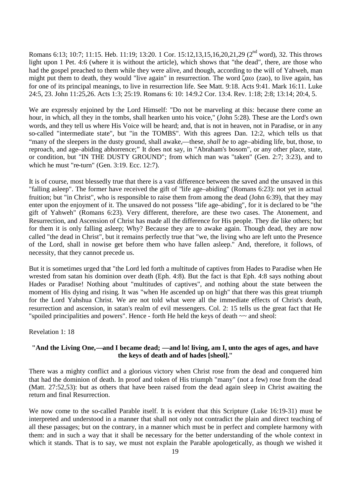Romans 6:13; 10:7; 11:15. Heb. 11:19; 13:20. 1 Cor. 15:12,13,15,16,20,21,29 (2<sup>nd</sup> word), 32. This throws light upon 1 Pet. 4:6 (where it is without the article), which shows that "the dead", there, are those who had the gospel preached to them while they were alive, and though, according to the will of Yahweh, man might put them to death, they would "live again" in resurrection. The word  $\zeta \alpha \omega$  (zao), to live again, has for one of its principal meanings, to live in resurrection life. See Matt. 9:18. Acts 9:41. Mark 16:11. Luke 24:5, 23. John 11:25,26. Acts 1:3; 25:19. Romans 6: 10: 14:9.2 Cor. 13:4. Rev. 1:18; 2:8; 13:14; 20:4, 5.

We are expressly enjoined by the Lord Himself: "Do not be marveling at this: because there come an hour, in which, all they in the tombs, shall hearken unto his voice," (John 5:28). These are the Lord's own words, and they tell us where His Voice will be heard; and, that is not in heaven, not in Paradise, or in any so-called "intermediate state", but "in the TOMBS". With this agrees Dan. 12:2, which tells us that "many of the sleepers in the dusty ground, shall awake,––these, *shall be* to age–abiding life, but, those, to reproach, and age–abiding abhorrence;" It does not say, in "Abraham's bosom", or any other place, state, or condition, but "IN THE DUSTY GROUND"; from which man was "taken" (Gen. 2:7; 3:23), and to which he must "re-turn" (Gen. 3:19. Ecc. 12:7).

It is of course, most blessedly true that there is a vast difference between the saved and the unsaved in this "falling asleep". The former have received the gift of "life age–abiding" (Romans 6:23): not yet in actual fruition; but "in Christ", who is responsible to raise them from among the dead (John 6:39), that they may enter upon the enjoyment of it. The unsaved do not possess "life age–abiding", for it is declared to be "the gift of Yahweh" (Romans 6:23). Very different, therefore, are these two cases. The Atonement, and Resurrection, and Ascension of Christ has made all the difference for His people. They die like others; but for them it is only falling asleep; Why? Because they are to awake again. Though dead, they are now called "the dead in Christ", but it remains perfectly true that "we, the living who are left unto the Presence of the Lord, shall in nowise get before them who have fallen asleep." And, therefore, it follows, of necessity, that they cannot precede us.

But it is sometimes urged that "the Lord led forth a multitude of captives from Hades to Paradise when He wrested from satan his dominion over death (Eph. 4:8). But the fact is that Eph. 4:8 says nothing about Hades or Paradise! Nothing about "multitudes of captives", and nothing about the state between the moment of His dying and rising. It was "when He ascended up on high" that there was this great triumph for the Lord Yahshua Christ. We are not told what were all the immediate effects of Christ's death, resurrection and ascension, in satan's realm of evil messengers. Col. 2: 15 tells us the great fact that He "spoiled principalities and powers". Hence - forth He held the keys of death ~~ and sheol:

#### Revelation 1: 18

## **"And the Living One,––and I became dead; ––and lo! living, am I, unto the ages of ages, and have the keys of death and of hades [sheol]."**

There was a mighty conflict and a glorious victory when Christ rose from the dead and conquered him that had the dominion of death. In proof and token of His triumph "many" (not a few) rose from the dead (Matt. 27:52,53): but as others that have been raised from the dead again sleep in Christ awaiting the return and final Resurrection.

We now come to the so-called Parable itself. It is evident that this Scripture (Luke 16:19-31) must be interpreted and understood in a manner that shall not only not contradict the plain and direct teaching of all these passages; but on the contrary, in a manner which must be in perfect and complete harmony with them: and in such a way that it shall be necessary for the better understanding of the whole context in which it stands. That is to say, we must not explain the Parable apologetically, as though we wished it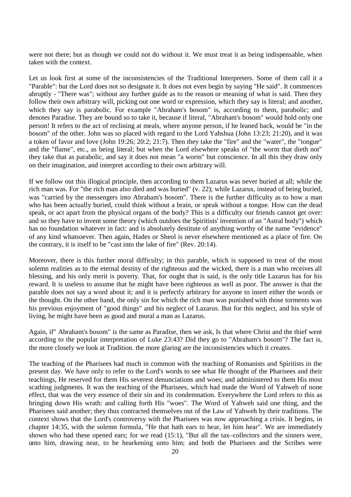were not there; but as though we could not do without it. We must treat it as being indispensable, when taken with the context.

Let us look first at some of the inconsistencies of the Traditional Interpreters. Some of them call it a "Parable": but the Lord does not so designate it. It does not even begin by saying "He said". It commences abruptly - "There was"; without any further guide as to the reason or meaning of what is said. Then they follow their own arbitrary will, picking out one word or expression, which they say is literal; and another, which they say is parabolic. For example "Abraham's bosom" is, according to them, parabolic; and denotes Paradise. They are bound so to take it, because if literal, "Abraham's bosom" would hold only one person! It refers to the act of reclining at meals, where anyone person, if he leaned back, would be "in the bosom" of the other. John was so placed with regard to the Lord Yahshua (John 13:23; 21:20), and it was a token of favor and love (John 19:26; 20:2; 21:7). Then they take the "fire" and the "water", the "tongue" and the "flame", etc., as being literal; but when the Lord elsewhere speaks of "the worm that dieth not" they take that as parabolic, and say it does not mean "a worm" but conscience. In all this they draw only on their imagination, and interpret according to their own arbitrary will.

If we follow out this illogical principle, then according to them Lazarus was never buried at all; while the rich man was. For "the rich man also died and was buried" (v. 22); while Lazarus, instead of being buried, was "carried by the messengers into Abraham's bosom". There is the further difficulty as to how a man who has been actually buried, could think without a brain, or speak without a tongue. How can the dead speak, or act apart from the physical organs of the body? This is a difficulty our friends cannot get over: and so they have to invent some theory (which outdoes the Spiritists' invention of an "Astral body") which has no foundation whatever in fact: and is absolutely destitute of anything worthy of the name "evidence" of any kind whatsoever. Then again, Hades or Sheol is never elsewhere mentioned as a place of fire. On the contrary, it is itself to be "cast into the lake of fire" (Rev. 20:14).

Moreover, there is this further moral difficulty; in this parable, which is supposed to treat of the most solemn realities as to the eternal destiny of the righteous and the wicked, there is a man who receives all blessing, and his only merit is poverty. That, for ought that is said, is the only title Lazarus has for his reward. It is useless to assume that he might have been righteous as well as poor. The answer is that the parable does not say a word about it; and it is perfectly arbitrary for anyone to insert either the words or the thought. On the other hand, the only sin for which the rich man was punished with those torments was his previous enjoyment of "good things" and his neglect of Lazarus. But for this neglect, and his style of living, he might have been as good and moral a man as Lazarus.

Again, if" Abraham's bosom" is the same as Paradise, then we ask, Is that where Christ and the thief went according to the popular interpretation of Luke 23:43? Did they go to "Abraham's bosom"? The fact is, the more closely we look at Tradition. the more glaring are the inconsistencies which it creates.

The teaching of the Pharisees had much in common with the teaching of Romanists and Spiritists in the present day. We have only to refer to the Lord's words to see what He thought of the Pharisees and their teachings, He reserved for them His severest denunciations and woes; and administered to them His most scathing judgments. It was the teaching of the Pharisees, which had made the Word of Yahweh of none effect, that was the very essence of their sin and its condemnation. Everywhere the Lord refers to this as bringing down His wrath: and calling forth His "woes". The Word of Yahweh said one thing, and the Pharisees said another; they thus contracted themselves out of the Law of Yahweh by their traditions. The context shows that the Lord's controversy with the Pharisees was now approaching a crisis. It begins, in chapter 14:35, with the solemn formula, "He that hath ears to hear, let him hear". We are immediately shown who had these opened ears; for we read (15:1), "But all the tax–collectors and the sinners were, unto him, drawing near, to be hearkening unto him; and both the Pharisees and the Scribes were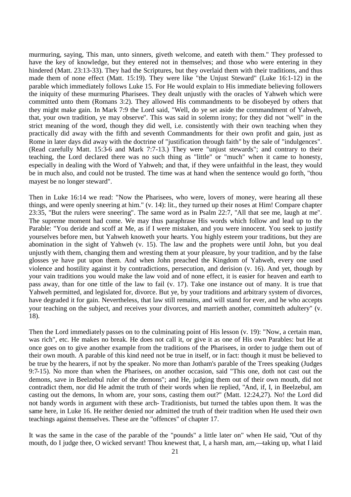murmuring, saying, This man, unto sinners, giveth welcome, and eateth with them." They professed to have the key of knowledge, but they entered not in themselves; and those who were entering in they hindered (Matt. 23:13-33). They had the Scriptures, but they overlaid them with their traditions, and thus made them of none effect (Matt. 15:19). They were like "the Unjust Steward" (Luke 16:1-12) in the parable which immediately follows Luke 15. For He would explain to His immediate believing followers the iniquity of these murmuring Pharisees. They dealt unjustly with the oracles of Yahweh which were committed unto them (Romans 3:2). They allowed His commandments to be disobeyed by others that they might make gain. In Mark 7:9 the Lord said, "Well, do ye set aside the commandment of Yahweh, that, your own tradition, ye may observe". This was said in solemn irony; for they did not "well" in the strict meaning of the word, though they did well, i.e. consistently with their own teaching when they practically did away with the fifth and seventh Commandments for their own profit and gain, just as Rome in later days did away with the doctrine of "justification through faith" by the sale of "indulgences". (Read carefully Matt. 15:3-6 and Mark 7:7-13.) They were "unjust stewards"; and contrary to their teaching, the Lord declared there was no such thing as "little" or "much" when it came to honesty, especially in dealing with the Word of Yahweh; and that, if they were unfaithful in the least, they would be in much also, and could not be trusted. The time was at hand when the sentence would go forth, "thou mayest be no longer steward".

Then in Luke 16:14 we read: "Now the Pharisees, who were, lovers of money, were hearing all these things, and were openly sneering at him." (v. 14): lit., they turned up their noses at Him! Compare chapter 23:35, "But the rulers were sneering". The same word as in Psalm 22:7, "All that see me, laugh at me". The supreme moment had come. We may thus paraphrase His words which follow and lead up to the Parable: "You deride and scoff at Me, as if I were mistaken, and you were innocent. You seek to justify yourselves before men, but Yahweh knoweth your hearts. You highly esteem your traditions, but they are abomination in the sight of Yahweh (v. 15). The law and the prophets were until John, but you deal unjustly with them, changing them and wresting them at your pleasure, by your tradition, and by the false glosses ye have put upon them. And when John preached the Kingdom of Yahweh, every one used violence and hostility against it by contradictions, persecution, and derision (v. 16). And yet, though by your vain traditions you would make the law void and of none effect, it is easier for heaven and earth to pass away, than for one tittle of the law to fail (v. 17). Take one instance out of many. It is true that Yahweh permitted, and legislated for, divorce. But ye, by your traditions and arbitrary system of divorces, have degraded it for gain. Nevertheless, that law still remains, and will stand for ever, and he who accepts your teaching on the subject, and receives your divorces, and marrieth another, committeth adultery" (v. 18).

Then the Lord immediately passes on to the culminating point of His lesson (v. 19): "Now, a certain man, was rich", etc. He makes no break. He does not call it, or give it as one of His own Parables: but He at once goes on to give another example from the traditions of the Pharisees, in order to judge them out of their own mouth. A parable of this kind need not be true in itself, or in fact: though it must be believed to be true by the hearers, if not by the speaker. No more than Jotham's parable of the Trees speaking (Judges 9:7-15). No more than when the Pharisees, on another occasion, said "This one, doth not cast out the demons, save in Beelzebul ruler of the demons"; and He, judging them out of their own mouth, did not contradict them, nor did He admit the truth of their words when lie replied, "And, if, I, in Beelzebul, am casting out the demons, In whom are, your sons, casting them out?" (Matt. 12:24,27). No! the Lord did not bandy words in argument with these arch- Traditionists, but turned the tables upon them. It was the same here, in Luke 16. He neither denied nor admitted the truth of their tradition when He used their own teachings against themselves. These are the "offences" of chapter 17.

It was the same in the case of the parable of the "pounds" a little later on" when He said, "Out of thy mouth, do I judge thee, O wicked servant! Thou knewest that, I, a harsh man, am,––taking up, what I laid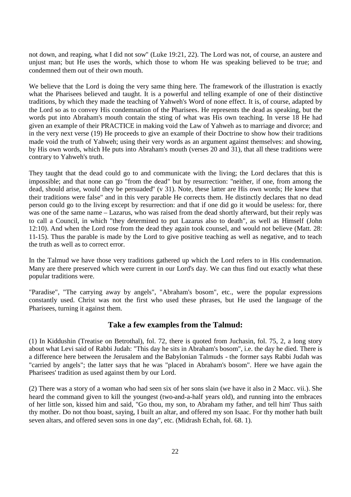not down, and reaping, what I did not sow" (Luke 19:21, 22). The Lord was not, of course, an austere and unjust man; but He uses the words, which those to whom He was speaking believed to be true; and condemned them out of their own mouth.

We believe that the Lord is doing the very same thing here. The framework of the illustration is exactly what the Pharisees believed and taught. It is a powerful and telling example of one of their distinctive traditions, by which they made the teaching of Yahweh's Word of none effect. It is, of course, adapted by the Lord so as to convey His condemnation of the Pharisees. He represents the dead as speaking, but the words put into Abraham's mouth contain the sting of what was His own teaching. In verse 18 He had given an example of their PRACTICE in making void the Law of Yahweh as to marriage and divorce; and in the very next verse (19) He proceeds to give an example of their Doctrine to show how their traditions made void the truth of Yahweh; using their very words as an argument against themselves: and showing, by His own words, which He puts into Abraham's mouth (verses 20 and 31), that all these traditions were contrary to Yahweh's truth.

They taught that the dead could go to and communicate with the living; the Lord declares that this is impossible; and that none can go "from the dead" but by resurrection: "neither, if one, from among the dead, should arise, would they be persuaded" (v 31). Note, these latter are His own words; He knew that their traditions were false" and in this very parable He corrects them. He distinctly declares that no dead person could go to the living except by resurrection: and that if one did go it would be useless: for, there was one of the same name – Lazarus, who was raised from the dead shortly afterward, but their reply was to call a Council, in which "they determined to put Lazarus also to death", as well as Himself (John 12:10). And when the Lord rose from the dead they again took counsel, and would not believe (Matt. 28: 11-15). Thus the parable is made by the Lord to give positive teaching as well as negative, and to teach the truth as well as to correct error.

In the Talmud we have those very traditions gathered up which the Lord refers to in His condemnation. Many are there preserved which were current in our Lord's day. We can thus find out exactly what these popular traditions were.

"Paradise", "The carrying away by angels", "Abraham's bosom", etc., were the popular expressions constantly used. Christ was not the first who used these phrases, but He used the language of the Pharisees, turning it against them.

# **Take a few examples from the Talmud:**

(1) In Kiddushin (Treatise on Betrothal), fol. 72, there is quoted from Juchasin, fol. 75, 2, a long story about what Levi said of Rabbi Judah: "This day he sits in Abraham's bosom", i.e. the day he died. There is a difference here between the Jerusalem and the Babylonian Talmuds - the former says Rabbi Judah was "carried by angels"; the latter says that he was "placed in Abraham's bosom". Here we have again the Pharisees' tradition as used against them by our Lord.

(2) There was a story of a woman who had seen six of her sons slain (we have it also in 2 Macc. vii.). She heard the command given to kill the youngest (two-and-a-half years old), and running into the embraces of her little son, kissed him and said, "Go thou, my son, to Abraham my father, and tell him' Thus saith thy mother. Do not thou boast, saying, I built an altar, and offered my son Isaac. For thy mother hath built seven altars, and offered seven sons in one day", etc. (Midrash Echah, fol. 68. 1).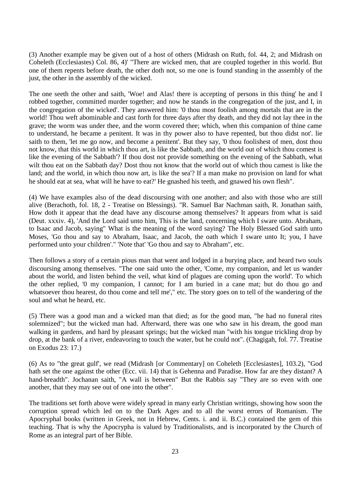(3) Another example may be given out of a host of others (Midrash on Ruth, fol. 44, 2; and Midrash on Coheleth (Ecclesiastes) Col. 86, 4)' "There are wicked men, that are coupled together in this world. But one of them repents before death, the other doth not, so me one is found standing in the assembly of the just, the other in the assembly of the wicked.

The one seeth the other and saith, 'Woe! and Alas! there is accepting of persons in this thing' he and I robbed together, committed murder together; and now he stands in the congregation of the just, and I, in the congregation of the wicked'. They answered him: '0 thou most foolish among mortals that are in the world! Thou weft abominable and cast forth for three days after thy death, and they did not lay thee in the grave; the worm was under thee, and the worm covered thee; which, when this companion of thine came to understand, he became a penitent. It was in thy power also to have repented, but thou didst not'. lie saith to them, 'let me go now, and become a penitent'. But they say, '0 thou foolishest of men, dost thou not know, that this world in which thou art, is like the Sabbath, and the world out of which thou comest is like the evening of the Sabbath'? If thou dost not provide something on the evening of the Sabbath, what wilt thou eat on the Sabbath day? Dost thou not know that the world out of which thou camest is like the land; and the world, in which thou now art, is like the sea'? If a man make no provision on land for what he should eat at sea, what will he have to eat?' He gnashed his teeth, and gnawed his own flesh".

(4) We have examples also of the dead discoursing with one another; and also with those who are still alive (Berachoth, fol. 18, 2 - Treatise on Blessings). "R. Samuel Bar Nachman saith, R. Jonathan saith, How doth it appear that the dead have any discourse among themselves? It appears from what is said (Deut. xxxiv. 4), 'And the Lord said unto him, This is the land, concerning which I sware unto. Abraham, to Isaac and Jacob, saying" What is the meaning of the word saying? The Holy Blessed God saith unto Moses, 'Go thou and say to Abraham, Isaac, and Jacob, the oath which I sware unto It; you, I have performed unto your children'." 'Note that' 'Go thou and say to Abraham", etc.

Then follows a story of a certain pious man that went and lodged in a burying place, and heard two souls discoursing among themselves. "The one said unto the other, 'Come, my companion, and let us wander about the world, and listen behind the veil, what kind of plagues are coming upon the world'. To which the other replied, '0 my companion, I cannot; for I am buried in a cane mat; but do thou go and whatsoever thou hearest, do thou come and tell me'," etc. The story goes on to tell of the wandering of the soul and what he heard, etc.

(5) There was a good man and a wicked man that died; as for the good man, "he had no funeral rites solemnized"; but the wicked man had. Afterward, there was one who saw in his dream, the good man walking in gardens, and hard by pleasant springs; but the wicked man "with his tongue trickling drop by drop, at the bank of a river, endeavoring to touch the water, but he could not". (Chagigah, fol. 77. Treatise on Exodus 23: 17.)

(6) As to "the great gulf', we read (Midrash [or Commentary] on Coheleth [Ecclesiastes], 103.2), "God hath set the one against the other (Ecc. vii. 14) that is Gehenna and Paradise. How far are they distant? A hand-breadth". Jochanan saith, "A wall is between" But the Rabbis say "They are so even with one another, that they may see out of one into the other".

The traditions set forth above were widely spread in many early Christian writings, showing how soon the corruption spread which led on to the Dark Ages and to all the worst errors of Romanism. The Apocryphal books (written in Greek, not in Hebrew, Cents. i. and ii. B.C.) contained the gem of this teaching. That is why the Apocrypha is valued by Traditionalists, and is incorporated by the Church of Rome as an integral part of her Bible.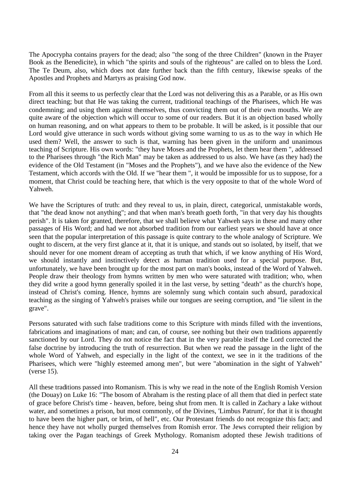The Apocrypha contains prayers for the dead; also "the song of the three Children" (known in the Prayer Book as the Benedicite), in which "the spirits and souls of the righteous" are called on to bless the Lord. The Te Deum, also, which does not date further back than the fifth century, likewise speaks of the Apostles and Prophets and Martyrs as praising God now.

From all this it seems to us perfectly clear that the Lord was not delivering this as a Parable, or as His own direct teaching; but that He was taking the current, traditional teachings of the Pharisees, which He was condemning; and using them against themselves, thus convicting them out of their own mouths. We are quite aware of the objection which will occur to some of our readers. But it is an objection based wholly on human reasoning, and on what appears to them to be probable. It will be asked, is it possible that our Lord would give utterance in such words without giving some warning to us as to the way in which He used them? Well, the answer to such is that, warning has been given in the uniform and unanimous teaching of Scripture. His own words: "they have Moses and the Prophets, let them hear them ", addressed to the Pharisees through "the Rich Man" may be taken as addressed to us also. We have (as they had) the evidence of the Old Testament (in "Moses and the Prophets"), and we have also the evidence of the New Testament, which accords with the Old. If we "hear them ", it would be impossible for us to suppose, for a moment, that Christ could be teaching here, that which is the very opposite to that of the whole Word of Yahweh.

We have the Scriptures of truth: and they reveal to us, in plain, direct, categorical, unmistakable words, that "the dead know not anything"; and that when man's breath goeth forth, "in that very day his thoughts perish". It is taken for granted, therefore, that we shall believe what Yahweh says in these and many other passages of His Word; and had we not absorbed tradition from our earliest years we should have at once seen that the popular interpretation of this passage is quite contrary to the whole analogy of Scripture. We ought to discern, at the very first glance at it, that it is unique, and stands out so isolated, by itself, that we should never for one moment dream of accepting as truth that which, if we know anything of His Word, we should instantly and instinctively detect as human tradition used for a special purpose. But, unfortunately, we have been brought up for the most part on man's books, instead of the Word of Yahweh. People draw their theology from hymns written by men who were saturated with tradition; who, when they did write a good hymn generally spoiled it in the last verse, by setting "death" as the church's hope, instead of Christ's coming. Hence, hymns are solemnly sung which contain such absurd, paradoxical teaching as the singing of Yahweh's praises while our tongues are seeing corruption, and "lie silent in the grave".

Persons saturated with such false traditions come to this Scripture with minds filled with the inventions, fabrications and imaginations of man; and can, of course, see nothing but their own traditions apparently sanctioned by our Lord. They do not notice the fact that in the very parable itself the Lord corrected the false doctrine by introducing the truth of resurrection. But when we read the passage in the light of the whole Word of Yahweh, and especially in the light of the context, we see in it the traditions of the Pharisees, which were "highly esteemed among men", but were "abomination in the sight of Yahweh" (verse 15).

All these traditions passed into Romanism. This is why we read in the note of the English Romish Version (the Douay) on Luke 16: "The bosom of Abraham is the resting place of all them that died in perfect state of grace before Christ's time - heaven, before, being shut from men. It is called in Zachary a lake without water, and sometimes a prison, but most commonly, of the Divines, 'Limbus Patrum', for that it is thought to have been the higher part, or brim, of hell", etc. Our Protestant friends do not recognize this fact; and hence they have not wholly purged themselves from Romish error. The Jews corrupted their religion by taking over the Pagan teachings of Greek Mythology. Romanism adopted these Jewish traditions of